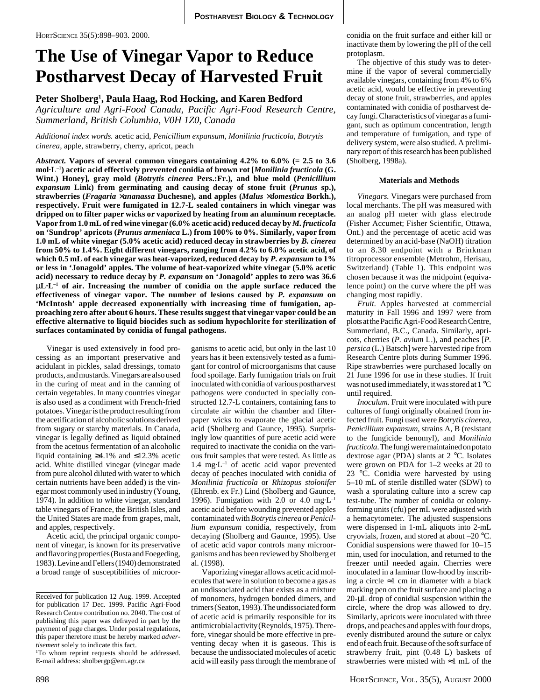# **The Use of Vinegar Vapor to Reduce Postharvest Decay of Harvested Fruit**

## **Peter Sholberg1 , Paula Haag, Rod Hocking, and Karen Bedford**

*Agriculture and Agri-Food Canada, Pacific Agri-Food Research Centre, Summerland, British Columbia, V0H 1Z0, Canada*

### *Additional index words.* acetic acid*, Penicillium expansum, Monilinia fructicola, Botrytis cinerea,* apple, strawberry, cherry, apricot, peach

*Abstract.* **Vapors of several common vinegars containing 4.2% to 6.0% (= 2.5 to 3.6 mol·L–1) acetic acid effectively prevented conidia of brown rot [***Monilinia fructicola* **(G. Wint.) Honey]***,* **gray mold (***Botrytis cinerea* **Pers.:Fr.)***,* **and blue mold (***Penicillium expansum* **Link) from germinating and causing decay of stone fruit (***Prunus* **sp.), strawberries (***Fragaria* ×*ananassa* **Duchesne), and apples (***Malus* ×*domestica* **Borkh.), respectively. Fruit were fumigated in 12.7-L sealed containers in which vinegar was dripped on to filter paper wicks or vaporized by heating from an aluminum receptacle. Vapor from 1.0 mL of red wine vinegar (6.0% acetic acid) reduced decay by** *M. fructicola* **on 'Sundrop' apricots (***Prunus armeniaca* **L.) from 100% to 0%. Similarly, vapor from 1.0 mL of white vinegar (5.0% acetic acid) reduced decay in strawberries by** *B. cinerea* **from 50% to 1.4%. Eight different vinegars, ranging from 4.2% to 6.0% acetic acid, of which 0.5 mL of each vinegar was heat-vaporized, reduced decay by** *P. expansum* **to 1% or less in 'Jonagold' apples. The volume of heat-vaporized white vinegar (5.0% acetic acid) necessary to reduce decay by** *P. expansum* **on 'Jonagold' apples to zero was 36.6** µ**L·L–1 of air. Increasing the number of conidia on the apple surface reduced the effectiveness of vinegar vapor. The number of lesions caused by** *P. expansum* **on 'McIntosh' apple decreased exponentially with increasing time of fumigation, approaching zero after about 6 hours. These results suggest that vinegar vapor could be an effective alternative to liquid biocides such as sodium hypochlorite for sterilization of surfaces contaminated by conidia of fungal pathogens.**

Vinegar is used extensively in food processing as an important preservative and acidulant in pickles, salad dressings, tomato products, and mustards. Vinegars are also used in the curing of meat and in the canning of certain vegetables. In many countries vinegar is also used as a condiment with French-fried potatoes. Vinegar is the product resulting from the acetification of alcoholic solutions derived from sugary or starchy materials. In Canada, vinegar is legally defined as liquid obtained from the acetous fermentation of an alcoholic liquid containing ≥4.1% and ≤12.3% acetic acid. White distilled vinegar (vinegar made from pure alcohol diluted with water to which certain nutrients have been added) is the vinegar most commonly used in industry (Young, 1974). In addition to white vinegar, standard table vinegars of France, the British Isles, and the United States are made from grapes, malt, and apples, respectively.

Acetic acid, the principal organic component of vinegar, is known for its preservative and flavoring properties (Busta and Foegeding, 1983). Levine and Fellers (1940) demonstrated a broad range of susceptibilities of microorganisms to acetic acid, but only in the last 10 years has it been extensively tested as a fumigant for control of microorganisms that cause food spoilage. Early fumigation trials on fruit inoculated with conidia of various postharvest pathogens were conducted in specially constructed 12.7-L containers, containing fans to circulate air within the chamber and filterpaper wicks to evaporate the glacial acetic acid (Sholberg and Gaunce, 1995). Surprisingly low quantities of pure acetic acid were required to inactivate the conidia on the various fruit samples that were tested. As little as  $1.4 \, \text{mg} \cdot \text{L}^{-1}$  of acetic acid vapor prevented decay of peaches inoculated with conidia of *Monilinia fructicola* or *Rhizopus stolonifer* (Ehrenb. ex Fr.) Lind (Sholberg and Gaunce, 1996). Fumigation with 2.0 or 4.0 mg $L^{-1}$ acetic acid before wounding prevented apples contaminated with *Botrytis cinerea* or *Penicillium expansum* conidia, respectively, from decaying (Sholberg and Gaunce, 1995). Use of acetic acid vapor controls many microorganisms and has been reviewed by Sholberg et al. (1998).

Vaporizing vinegar allows acetic acid molecules that were in solution to become a gas as an undissociated acid that exists as a mixture of monomers, hydrogen bonded dimers, and trimers (Seaton, 1993). The undissociated form of acetic acid is primarily responsible for its antimicrobial activity (Reynolds, 1975). Therefore, vinegar should be more effective in preventing decay when it is gaseous. This is because the undissociated molecules of acetic acid will easily pass through the membrane of

conidia on the fruit surface and either kill or inactivate them by lowering the pH of the cell protoplasm.

The objective of this study was to determine if the vapor of several commercially available vinegars, containing from 4% to 6% acetic acid, would be effective in preventing decay of stone fruit, strawberries, and apples contaminated with conidia of postharvest decay fungi. Characteristics of vinegar as a fumigant, such as optimum concentration, length and temperature of fumigation, and type of delivery system, were also studied. A preliminary report of this research has been published (Sholberg, 1998a).

#### **Materials and Methods**

*Vinegars.* Vinegars were purchased from local merchants. The pH was measured with an analog pH meter with glass electrode (Fisher Accumet; Fisher Scientific, Ottawa, Ont.) and the percentage of acetic acid was determined by an acid-base (NaOH) titration to an 8.30 endpoint with a Brinkman titroprocessor ensemble (Metrohm, Herisau, Switzerland) (Table 1). This endpoint was chosen because it was the midpoint (equivalence point) on the curve where the pH was changing most rapidly.

*Fruit.* Apples harvested at commercial maturity in Fall 1996 and 1997 were from plots at the Pacific Agri-Food Research Centre, Summerland, B.C., Canada. Similarly, apricots, cherries (*P. avium* L.), and peaches [*P. persica* (L.) Batsch] were harvested ripe from Research Centre plots during Summer 1996. Ripe strawberries were purchased locally on 21 June 1996 for use in these studies. If fruit was not used immediately, it was stored at 1 °C until required.

*Inoculum.* Fruit were inoculated with pure cultures of fungi originally obtained from infected fruit. Fungi used were *Botrytis cinerea*, *Penicillium expansum*, strains A, B (resistant to the fungicide benomyl), and *Monilinia fructicola*. The fungi were maintained on potato dextrose agar (PDA) slants at 2 °C. Isolates were grown on PDA for 1–2 weeks at 20 to 23 °C. Conidia were harvested by using 5–10 mL of sterile distilled water (SDW) to wash a sporulating culture into a screw cap test-tube. The number of conidia or colonyforming units (cfu) per mL were adjusted with a hemacytometer. The adjusted suspensions were dispensed in 1-mL aliquots into 2-mL cryovials, frozen, and stored at about –20 °C. Conidial suspensions were thawed for 10–15 min, used for inoculation, and returned to the freezer until needed again. Cherries were inoculated in a laminar flow-hood by inscribing a circle ≈1 cm in diameter with a black marking pen on the fruit surface and placing a 20-µL drop of conidial suspension within the circle, where the drop was allowed to dry. Similarly, apricots were inoculated with three drops, and peaches and apples with four drops, evenly distributed around the suture or calyx end of each fruit. Because of the soft surface of strawberry fruit, pint (0.48 L) baskets of strawberries were misted with ≈1 mL of the

Received for publication 12 Aug. 1999. Accepted for publication 17 Dec. 1999. Pacific Agri-Food Research Centre contribution no. 2040. The cost of publishing this paper was defrayed in part by the payment of page charges. Under postal regulations, this paper therefore must be hereby marked *advertisement* solely to indicate this fact.

<sup>&</sup>lt;sup>1</sup>To whom reprint requests should be addressed. E-mail address: sholbergp@em.agr.ca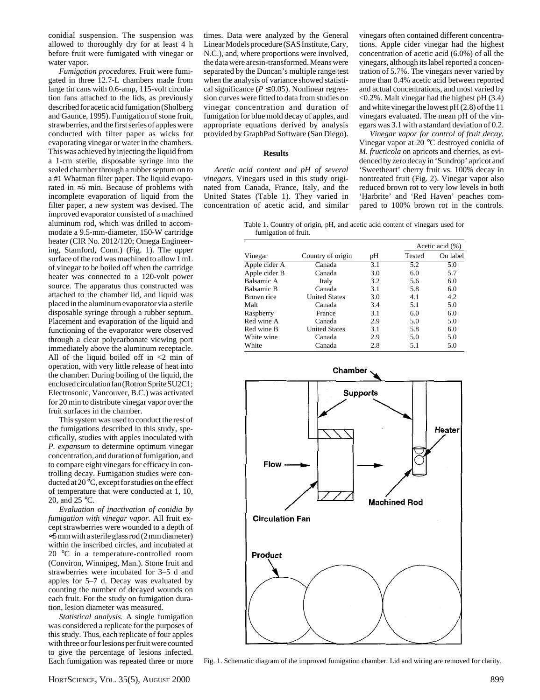conidial suspension. The suspension was allowed to thoroughly dry for at least 4 h before fruit were fumigated with vinegar or water vapor.

*Fumigation procedures.* Fruit were fumigated in three 12.7-L chambers made from large tin cans with 0.6-amp, 115-volt circulation fans attached to the lids, as previously described for acetic acid fumigation (Sholberg and Gaunce, 1995). Fumigation of stone fruit, strawberries, and the first series of apples were conducted with filter paper as wicks for evaporating vinegar or water in the chambers. This was achieved by injecting the liquid from a 1-cm sterile, disposable syringe into the sealed chamber through a rubber septum on to a #1 Whatman filter paper. The liquid evaporated in ≈5 min. Because of problems with incomplete evaporation of liquid from the filter paper, a new system was devised. The improved evaporator consisted of a machined aluminum rod, which was drilled to accommodate a 9.5-mm-diameter, 150-W cartridge heater (CIR No. 2012/120; Omega Engineering, Stamford, Conn.) (Fig. 1). The upper surface of the rod was machined to allow 1 mL of vinegar to be boiled off when the cartridge heater was connected to a 120-volt power source. The apparatus thus constructed was attached to the chamber lid, and liquid was placed in the aluminum evaporator via a sterile disposable syringe through a rubber septum. Placement and evaporation of the liquid and functioning of the evaporator were observed through a clear polycarbonate viewing port immediately above the aluminum receptacle. All of the liquid boiled off in <2 min of operation, with very little release of heat into the chamber. During boiling of the liquid, the enclosed circulation fan (Rotron Sprite SU2C1; Electrosonic, Vancouver, B.C.) was activated for 20 min to distribute vinegar vapor over the fruit surfaces in the chamber.

This system was used to conduct the rest of the fumigations described in this study, specifically, studies with apples inoculated with *P. expansum* to determine optimum vinegar concentration, and duration of fumigation, and to compare eight vinegars for efficacy in controlling decay. Fumigation studies were conducted at 20 °C, except for studies on the effect of temperature that were conducted at 1, 10, 20, and 25 °C.

*Evaluation of inactivation of conidia by fumigation with vinegar vapor.* All fruit except strawberries were wounded to a depth of ≈5 mm with a sterile glass rod (2 mm diameter) within the inscribed circles, and incubated at 20 °C in a temperature-controlled room (Conviron, Winnipeg, Man.). Stone fruit and strawberries were incubated for 3–5 d and apples for 5–7 d. Decay was evaluated by counting the number of decayed wounds on each fruit. For the study on fumigation duration, lesion diameter was measured.

*Statistical analysis.* A single fumigation was considered a replicate for the purposes of this study. Thus, each replicate of four apples with three or four lesions per fruit were counted to give the percentage of lesions infected. Each fumigation was repeated three or more times. Data were analyzed by the General Linear Models procedure (SAS Institute, Cary, N.C.), and, where proportions were involved, the data were arcsin-transformed. Means were separated by the Duncan's multiple range test when the analysis of variance showed statistical significance ( $P \le 0.05$ ). Nonlinear regression curves were fitted to data from studies on vinegar concentration and duration of fumigation for blue mold decay of apples, and appropriate equations derived by analysis provided by GraphPad Software (San Diego).

#### **Results**

*Acetic acid content and pH of several vinegars.* Vinegars used in this study originated from Canada, France, Italy, and the United States (Table 1). They varied in concentration of acetic acid, and similar vinegars often contained different concentrations. Apple cider vinegar had the highest concentration of acetic acid (6.0%) of all the vinegars, although its label reported a concentration of 5.7%. The vinegars never varied by more than 0.4% acetic acid between reported and actual concentrations, and most varied by <0.2%. Malt vinegar had the highest pH (3.4) and white vinegar the lowest pH (2.8) of the 11 vinegars evaluated. The mean pH of the vinegars was 3.1 with a standard deviation of 0.2.

*Vinegar vapor for control of fruit decay.* Vinegar vapor at 20 °C destroyed conidia of *M. fructicola* on apricots and cherries, as evidenced by zero decay in 'Sundrop' apricot and 'Sweetheart' cherry fruit vs. 100% decay in nontreated fruit (Fig. 2). Vinegar vapor also reduced brown rot to very low levels in both 'Harbrite' and 'Red Haven' peaches compared to 100% brown rot in the controls.

Table 1. Country of origin, pH, and acetic acid content of vinegars used for fumigation of fruit.

|               | Country of origin    |     | Acetic acid $(\% )$ |          |
|---------------|----------------------|-----|---------------------|----------|
| Vinegar       |                      | pН  | Tested              | On label |
| Apple cider A | Canada               | 3.1 | 5.2                 | 5.0      |
| Apple cider B | Canada               | 3.0 | 6.0                 | 5.7      |
| Balsamic A    | Italy                | 3.2 | 5.6                 | 6.0      |
| Balsamic B    | Canada               | 3.1 | 5.8                 | 6.0      |
| Brown rice    | <b>United States</b> | 3.0 | 4.1                 | 4.2      |
| Malt          | Canada               | 3.4 | 5.1                 | 5.0      |
| Raspberry     | France               | 3.1 | 6.0                 | 6.0      |
| Red wine A    | Canada               | 2.9 | 5.0                 | 5.0      |
| Red wine B    | <b>United States</b> | 3.1 | 5.8                 | 6.0      |
| White wine    | Canada               | 2.9 | 5.0                 | 5.0      |
| White         | Canada               | 2.8 | 5.1                 | 5.0      |



Fig. 1. Schematic diagram of the improved fumigation chamber. Lid and wiring are removed for clarity.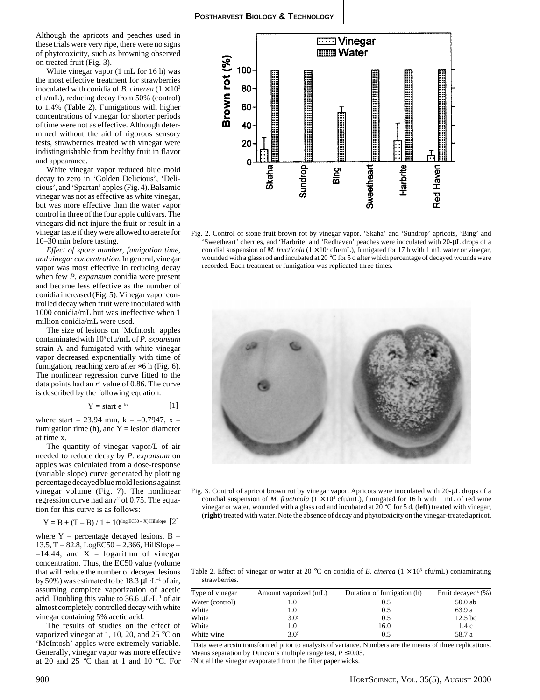Although the apricots and peaches used in these trials were very ripe, there were no signs of phytotoxicity, such as browning observed on treated fruit (Fig. 3).

White vinegar vapor (1 mL for 16 h) was the most effective treatment for strawberries inoculated with conidia of *B. cinerea*  $(1 \times 10^3)$ cfu/mL), reducing decay from 50% (control) to 1.4% (Table 2). Fumigations with higher concentrations of vinegar for shorter periods of time were not as effective. Although determined without the aid of rigorous sensory tests, strawberries treated with vinegar were indistinguishable from healthy fruit in flavor and appearance.

White vinegar vapor reduced blue mold decay to zero in 'Golden Delicious', 'Delicious', and 'Spartan' apples (Fig. 4). Balsamic vinegar was not as effective as white vinegar, but was more effective than the water vapor control in three of the four apple cultivars. The vinegars did not injure the fruit or result in a vinegar taste if they were allowed to aerate for 10–30 min before tasting.

*Effect of spore number, fumigation time, and vinegar concentration.* In general, vinegar vapor was most effective in reducing decay when few *P. expansum* conidia were present and became less effective as the number of conidia increased (Fig. 5). Vinegar vapor controlled decay when fruit were inoculated with 1000 conidia/mL but was ineffective when 1 million conidia/mL were used.

The size of lesions on 'McIntosh' apples contaminatedwith 105 cfu/mL of *P. expansum* strain A and fumigated with white vinegar vapor decreased exponentially with time of fumigation, reaching zero after  $\approx$ 6 h (Fig. 6). The nonlinear regression curve fitted to the data points had an  $r^2$  value of 0.86. The curve is described by the following equation:

$$
Y = start e^{kx} \qquad [1]
$$

where start = 23.94 mm,  $k = -0.7947$ ,  $x =$ fumigation time (h), and  $Y =$  lesion diameter at time x.

The quantity of vinegar vapor/L of air needed to reduce decay by *P. expansum* on apples was calculated from a dose-response (variable slope) curve generated by plotting percentage decayed blue mold lesions against vinegar volume (Fig. 7). The nonlinear regression curve had an  $r^2$  of 0.75. The equation for this curve is as follows:

 $Y = B + (T - B) / 1 + 10^{\text{(log ECS0 - X) Hill slope}}$  [2]

where  $Y =$  percentage decayed lesions,  $B =$  $13.5, T = 82.8, LogEC50 = 2.366, HillSlope =$  $-14.44$ , and  $X =$  logarithm of vinegar concentration. Thus, the EC50 value (volume that will reduce the number of decayed lesions by 50%) was estimated to be 18.3  $\mu$ L·L<sup>-1</sup> of air, assuming complete vaporization of acetic acid. Doubling this value to 36.6  $\mu$ L·L<sup>-1</sup> of air almost completely controlled decay with white vinegar containing 5% acetic acid.

The results of studies on the effect of vaporized vinegar at 1, 10, 20, and 25 °C on 'McIntosh' apples were extremely variable. Generally, vinegar vapor was more effective at 20 and 25 °C than at 1 and 10 °C. For



Fig. 2. Control of stone fruit brown rot by vinegar vapor. 'Skaha' and 'Sundrop' apricots, 'Bing' and 'Sweetheart' cherries, and 'Harbrite' and 'Redhaven' peaches were inoculated with 20-µL drops of a conidial suspension of *M. fructicola* ( $1 \times 10^5$  cfu/mL), fumigated for 17 h with 1 mL water or vinegar, wounded with a glass rod and incubated at 20 °C for 5 d after which percentage of decayed wounds were recorded. Each treatment or fumigation was replicated three times.



Fig. 3. Control of apricot brown rot by vinegar vapor. Apricots were inoculated with 20-µL drops of a conidial suspension of *M. fructicola*  $(1 \times 10^5 \text{ c} \text{fu/mL})$ , fumigated for 16 h with 1 mL of red wine vinegar or water, wounded with a glass rod and incubated at 20 °C for 5 d. (**left**) treated with vinegar, (**right**) treated with water. Note the absence of decay and phytotoxicity on the vinegar-treated apricot.

Table 2. Effect of vinegar or water at 20  $\rm{^{\circ}C}$  on conidia of *B. cinerea* ( $1 \times 10^{3}$  cfu/mL) contaminating strawberries.

| Type of vinegar | Amount vaporized (mL) | Duration of fumigation (h) | Fruit decayed <sup><math>2</math></sup> (%) |
|-----------------|-----------------------|----------------------------|---------------------------------------------|
| Water (control) | 1.0                   | 0.5                        | $50.0$ ab                                   |
| White           | 1.0                   | 0.5                        | 63.9 a                                      |
| White           | 3.0 <sup>y</sup>      | 0.5                        | 12.5 <sub>bc</sub>                          |
| White           | 1.0                   | 16.0                       | 1.4c                                        |
| White wine      | 3.0 <sup>y</sup>      | 0.5                        | 58.7 a                                      |
|                 |                       |                            |                                             |

z Data were arcsin transformed prior to analysis of variance. Numbers are the means of three replications. Means separation by Duncan's multiple range test,  $P \le 0.05$ .

y Not all the vinegar evaporated from the filter paper wicks.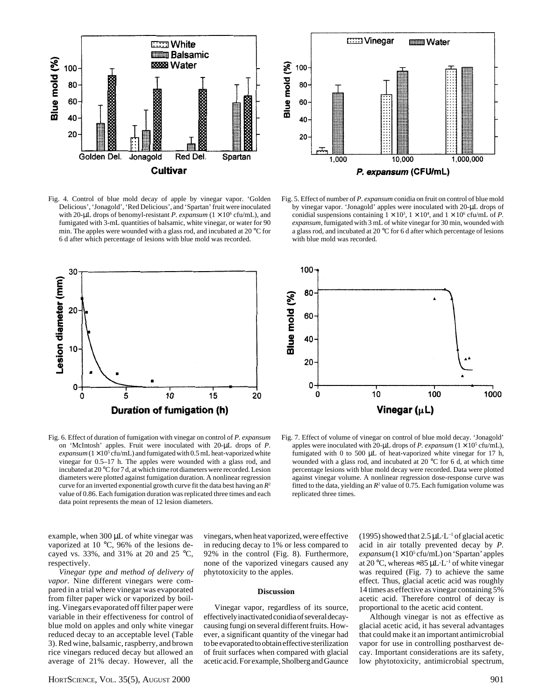



Fig. 4. Control of blue mold decay of apple by vinegar vapor. 'Golden Delicious', 'Jonagold', 'Red Delicious', and 'Spartan' fruit were inoculated with 20- $\mu$ L drops of benomyl-resistant *P. expansum* ( $1 \times 10^6$  cfu/mL), and fumigated with 3-mL quantities of balsamic, white vinegar, or water for 90 min. The apples were wounded with a glass rod, and incubated at 20 °C for 6 d after which percentage of lesions with blue mold was recorded.

Fig. 5. Effect of number of *P. expansum* conidia on fruit on control of blue mold by vinegar vapor. 'Jonagold' apples were inoculated with 20-µL drops of conidial suspensions containing  $1 \times 10^3$ ,  $1 \times 10^4$ , and  $1 \times 10^6$  cfu/mL of *P*. *expansum,* fumigated with 3 mL of white vinegar for 30 min, wounded with a glass rod, and incubated at 20 °C for 6 d after which percentage of lesions with blue mold was recorded.



Fig. 6. Effect of duration of fumigation with vinegar on control of *P. expansum* on 'McIntosh' apples. Fruit were inoculated with 20-µL drops of *P.*  $expansum (1 \times 10^5 \text{ cftu/mL})$  and fumigated with 0.5 mL heat-vaporized white vinegar for 0.5–17 h. The apples were wounded with a glass rod, and incubated at 20 °C for 7 d, at which time rot diameters were recorded. Lesion diameters were plotted against fumigation duration. A nonlinear regression curve for an inverted exponential growth curve fit the data best having an *R*<sup>2</sup> value of 0.86. Each fumigation duration was replicated three times and each data point represents the mean of 12 lesion diameters.



Fig. 7. Effect of volume of vinegar on control of blue mold decay. 'Jonagold' apples were inoculated with 20- $\mu$ L drops of *P. expansum* ( $1 \times 10^5$  cfu/mL), fumigated with 0 to 500 µL of heat-vaporized white vinegar for 17 h, wounded with a glass rod, and incubated at 20 °C for 6 d, at which time percentage lesions with blue mold decay were recorded. Data were plotted against vinegar volume. A nonlinear regression dose-response curve was fitted to the data, yielding an  $R^2$  value of 0.75. Each fumigation volume was replicated three times.

example, when 300 µL of white vinegar was vaporized at 10 °C, 96% of the lesions decayed vs. 33%, and 31% at 20 and 25 °C, respectively.

*Vinegar type and method of delivery of vapor.* Nine different vinegars were compared in a trial where vinegar was evaporated from filter paper wick or vaporized by boiling. Vinegars evaporated off filter paper were variable in their effectiveness for control of blue mold on apples and only white vinegar reduced decay to an acceptable level (Table 3). Red wine, balsamic, raspberry, and brown rice vinegars reduced decay but allowed an average of 21% decay. However, all the

HORTSCIENCE, VOL. 35(5), AUGUST 2000 901

vinegars, when heat vaporized, were effective in reducing decay to 1% or less compared to 92% in the control (Fig. 8). Furthermore, none of the vaporized vinegars caused any phytotoxicity to the apples.

#### **Discussion**

Vinegar vapor, regardless of its source, effectively inactivated conidia of several decaycausing fungi on several different fruits. However, a significant quantity of the vinegar had to be evaporated to obtain effective sterilization of fruit surfaces when compared with glacial acetic acid. For example, Sholberg and Gaunce (1995) showed that  $2.5 \mu L \cdot L^{-1}$  of glacial acetic acid in air totally prevented decay by *P.* expansum (1×10<sup>5</sup> cfu/mL) on 'Spartan' apples at 20 °C, whereas ≈35  $\mu$ L·L<sup>-1</sup> of white vinegar was required (Fig. 7) to achieve the same effect. Thus, glacial acetic acid was roughly 14 times as effective as vinegar containing 5% acetic acid. Therefore control of decay is proportional to the acetic acid content.

Although vinegar is not as effective as glacial acetic acid, it has several advantages that could make it an important antimicrobial vapor for use in controlling postharvest decay. Important considerations are its safety, low phytotoxicity, antimicrobial spectrum,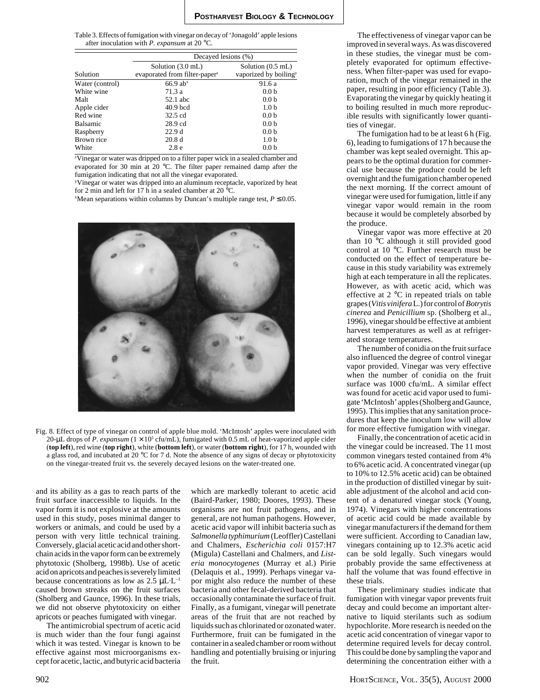Table 3. Effects of fumigation with vinegar on decay of 'Jonagold' apple lesions after inoculation with *P. expansum* at 20 °C.

|                 | Decayed lesions (%)                       |                                   |  |  |
|-----------------|-------------------------------------------|-----------------------------------|--|--|
|                 | Solution (3.0 mL)                         | Solution (0.5 mL)                 |  |  |
| Solution        | evaporated from filter-paper <sup>2</sup> | vaporized by boiling <sup>y</sup> |  |  |
| Water (control) | $66.9$ ab <sup>x</sup>                    | 91.6 a                            |  |  |
| White wine      | 71.3 a                                    | 0.0 <sub>b</sub>                  |  |  |
| Malt            | 52.1 abc                                  | 0.0 <sub>b</sub>                  |  |  |
| Apple cider     | $40.9$ bcd                                | 1.0 <sub>b</sub>                  |  |  |
| Red wine        | 32.5 cd                                   | 0.0 <sub>b</sub>                  |  |  |
| <b>Balsamic</b> | $28.9$ cd                                 | 0.0 <sub>b</sub>                  |  |  |
| Raspberry       | 22.9d                                     | 0.0 <sub>b</sub>                  |  |  |
| Brown rice      | 20.8 <sub>d</sub>                         | 1.0 <sub>b</sub>                  |  |  |
| White           | 2.8e                                      | 0.0 <sub>b</sub>                  |  |  |

z Vinegar or water was dripped on to a filter paper wick in a sealed chamber and evaporated for 30 min at 20 °C. The filter paper remained damp after the fumigation indicating that not all the vinegar evaporated.

y Vinegar or water was dripped into an aluminum receptacle, vaporized by heat for 2 min and left for 17 h in a sealed chamber at 20 °C.

 $x$ Mean separations within columns by Duncan's multiple range test,  $P \le 0.05$ .



Fig. 8. Effect of type of vinegar on control of apple blue mold. 'McIntosh' apples were inoculated with 20-µL drops of *P. expansum*  $(1 \times 10^5 \text{ c}$ fu/mL), fumigated with 0.5 mL of heat-vaporized apple cider (**top left**), red wine (**top right**), white (**bottom left**), or water (**bottom right**), for 17 h, wounded with a glass rod, and incubated at 20 °C for 7 d. Note the absence of any signs of decay or phytotoxicity on the vinegar-treated fruit vs. the severely decayed lesions on the water-treated one.

and its ability as a gas to reach parts of the fruit surface inaccessible to liquids. In the vapor form it is not explosive at the amounts used in this study, poses minimal danger to workers or animals, and could be used by a person with very little technical training. Conversely, glacial acetic acid and other shortchain acids in the vapor form can be extremely phytotoxic (Sholberg, 1998b). Use of acetic acid on apricots and peaches is severely limited because concentrations as low as  $2.5 \mu L \cdot L^{-1}$ caused brown streaks on the fruit surfaces (Sholberg and Gaunce, 1996). In these trials, we did not observe phytotoxicity on either apricots or peaches fumigated with vinegar.

The antimicrobial spectrum of acetic acid is much wider than the four fungi against which it was tested. Vinegar is known to be effective against most microorganisms except for acetic, lactic, and butyric acid bacteria which are markedly tolerant to acetic acid (Baird-Parker, 1980; Doores, 1993). These organisms are not fruit pathogens, and in general, are not human pathogens. However, acetic acid vapor will inhibit bacteria such as *Salmonella typhimurium* (Leoffler) Castellani and Chalmers*, Escherichia coli* 0157:H7 (Migula) Castellani and Chalmers, and *Listeria monocytogenes* (Murray et al.) Pirie (Delaquis et al., 1999). Perhaps vinegar vapor might also reduce the number of these bacteria and other fecal-derived bacteria that occasionally contaminate the surface of fruit. Finally, as a fumigant, vinegar will penetrate areas of the fruit that are not reached by liquids such as chlorinated or ozonated water. Furthermore, fruit can be fumigated in the container in a sealed chamber or room without handling and potentially bruising or injuring the fruit.

The effectiveness of vinegar vapor can be improved in several ways. As was discovered in these studies, the vinegar must be completely evaporated for optimum effectiveness. When filter-paper was used for evaporation, much of the vinegar remained in the paper, resulting in poor efficiency (Table 3). Evaporating the vinegar by quickly heating it to boiling resulted in much more reproducible results with significantly lower quantities of vinegar.

The fumigation had to be at least 6 h (Fig. 6), leading to fumigations of 17 h because the chamber was kept sealed overnight. This appears to be the optimal duration for commercial use because the produce could be left overnight and the fumigation chamber opened the next morning. If the correct amount of vinegar were used for fumigation, little if any vinegar vapor would remain in the room because it would be completely absorbed by the produce.

Vinegar vapor was more effective at 20 than 10 °C although it still provided good control at 10 °C. Further research must be conducted on the effect of temperature because in this study variability was extremely high at each temperature in all the replicates. However, as with acetic acid, which was effective at 2 °C in repeated trials on table grapes (*Vitis vinifera* L.) for control of *Botrytis cinerea* and *Penicillium* sp. (Sholberg et al., 1996), vinegar should be effective at ambient harvest temperatures as well as at refrigerated storage temperatures.

The number of conidia on the fruit surface also influenced the degree of control vinegar vapor provided. Vinegar was very effective when the number of conidia on the fruit surface was 1000 cfu/mL. A similar effect was found for acetic acid vapor used to fumigate 'McIntosh' apples (Sholberg and Gaunce, 1995). This implies that any sanitation procedures that keep the inoculum low will allow for more effective fumigation with vinegar.

Finally, the concentration of acetic acid in the vinegar could be increased. The 11 most common vinegars tested contained from 4% to 6% acetic acid. A concentrated vinegar (up to 10% to 12.5% acetic acid) can be obtained in the production of distilled vinegar by suitable adjustment of the alcohol and acid content of a denatured vinegar stock (Young, 1974). Vinegars with higher concentrations of acetic acid could be made available by vinegar manufacturers if the demand for them were sufficient. According to Canadian law, vinegars containing up to 12.3% acetic acid can be sold legally. Such vinegars would probably provide the same effectiveness at half the volume that was found effective in these trials.

These preliminary studies indicate that fumigation with vinegar vapor prevents fruit decay and could become an important alternative to liquid sterilants such as sodium hypochlorite. More research is needed on the acetic acid concentration of vinegar vapor to determine required levels for decay control. This could be done by sampling the vapor and determining the concentration either with a